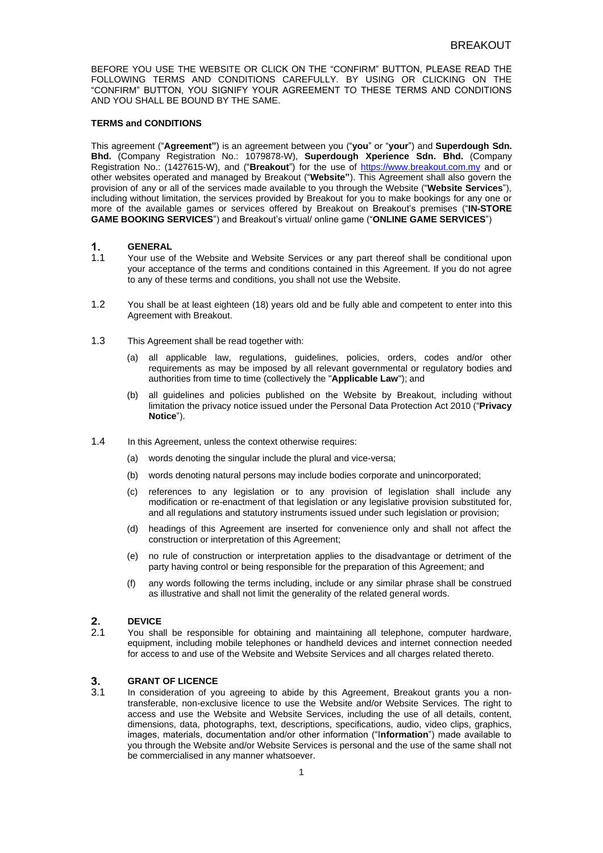BEFORE YOU USE THE WEBSITE OR CLICK ON THE "CONFIRM" BUTTON, PLEASE READ THE FOLLOWING TERMS AND CONDITIONS CAREFULLY. BY USING OR CLICKING ON THE "CONFIRM" BUTTON, YOU SIGNIFY YOUR AGREEMENT TO THESE TERMS AND CONDITIONS AND YOU SHALL BE BOUND BY THE SAME.

### **TERMS and CONDITIONS**

This agreement ("**Agreement"**) is an agreement between you ("**you**" or "**your**") and **Superdough Sdn. Bhd.** (Company Registration No.: 1079878-W), **Superdough Xperience Sdn. Bhd.** (Company Registration No.: (1427615-W), and ("**Breakout**") for the use of [https://www.breakout.com.my](https://www.breakout.com.my/) and or other websites operated and managed by Breakout ("**Website"**). This Agreement shall also govern the provision of any or all of the services made available to you through the Website ("**Website Services**"), including without limitation, the services provided by Breakout for you to make bookings for any one or more of the available games or services offered by Breakout on Breakout's premises ("**IN-STORE GAME BOOKING SERVICES**") and Breakout's virtual/ online game ("**ONLINE GAME SERVICES**")

#### 1. **GENERAL**

- 1.1 Your use of the Website and Website Services or any part thereof shall be conditional upon your acceptance of the terms and conditions contained in this Agreement. If you do not agree to any of these terms and conditions, you shall not use the Website.
- 1.2 You shall be at least eighteen (18) years old and be fully able and competent to enter into this Agreement with Breakout.
- 1.3 This Agreement shall be read together with:
	- (a) all applicable law, regulations, guidelines, policies, orders, codes and/or other requirements as may be imposed by all relevant governmental or regulatory bodies and authorities from time to time (collectively the "**Applicable Law**"); and
	- (b) all guidelines and policies published on the Website by Breakout, including without limitation the privacy notice issued under the Personal Data Protection Act 2010 ("**Privacy Notice**").
- 1.4 In this Agreement, unless the context otherwise requires:
	- (a) words denoting the singular include the plural and vice-versa;
	- (b) words denoting natural persons may include bodies corporate and unincorporated;
	- (c) references to any legislation or to any provision of legislation shall include any modification or re-enactment of that legislation or any legislative provision substituted for, and all regulations and statutory instruments issued under such legislation or provision;
	- (d) headings of this Agreement are inserted for convenience only and shall not affect the construction or interpretation of this Agreement;
	- (e) no rule of construction or interpretation applies to the disadvantage or detriment of the party having control or being responsible for the preparation of this Agreement; and
	- (f) any words following the terms including, include or any similar phrase shall be construed as illustrative and shall not limit the generality of the related general words.

#### $2.$ **DEVICE**

2.1 You shall be responsible for obtaining and maintaining all telephone, computer hardware, equipment, including mobile telephones or handheld devices and internet connection needed for access to and use of the Website and Website Services and all charges related thereto.

### $3.$ **GRANT OF LICENCE**

3.1 In consideration of you agreeing to abide by this Agreement, Breakout grants you a nontransferable, non-exclusive licence to use the Website and/or Website Services. The right to access and use the Website and Website Services, including the use of all details, content, dimensions, data, photographs, text, descriptions, specifications, audio, video clips, graphics, images, materials, documentation and/or other information ("I**nformation**") made available to you through the Website and/or Website Services is personal and the use of the same shall not be commercialised in any manner whatsoever.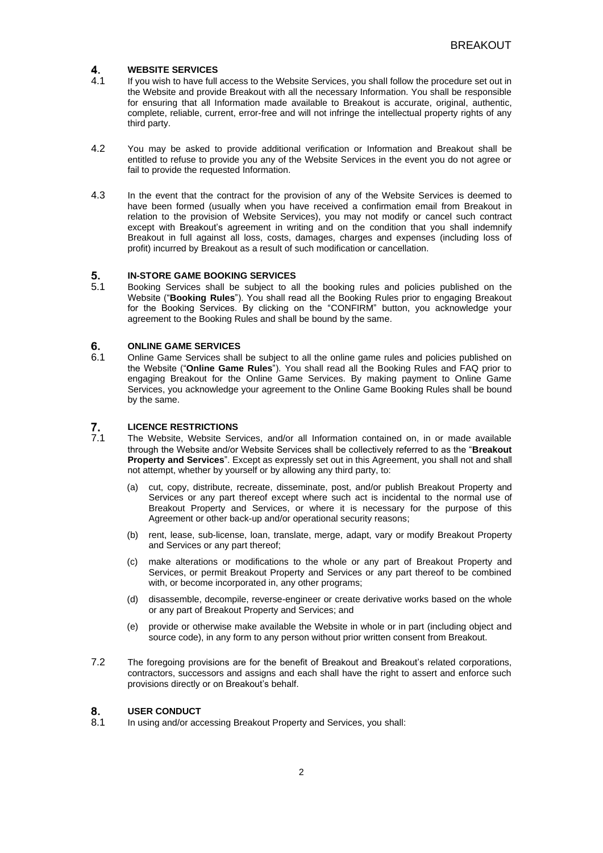### **WEBSITE SERVICES** 4.

- 4.1 If you wish to have full access to the Website Services, you shall follow the procedure set out in the Website and provide Breakout with all the necessary Information. You shall be responsible for ensuring that all Information made available to Breakout is accurate, original, authentic, complete, reliable, current, error-free and will not infringe the intellectual property rights of any third party.
- 4.2 You may be asked to provide additional verification or Information and Breakout shall be entitled to refuse to provide you any of the Website Services in the event you do not agree or fail to provide the requested Information.
- 4.3 In the event that the contract for the provision of any of the Website Services is deemed to have been formed (usually when you have received a confirmation email from Breakout in relation to the provision of Website Services), you may not modify or cancel such contract except with Breakout's agreement in writing and on the condition that you shall indemnify Breakout in full against all loss, costs, damages, charges and expenses (including loss of profit) incurred by Breakout as a result of such modification or cancellation.

### 5. **IN-STORE GAME BOOKING SERVICES**

5.1 Booking Services shall be subject to all the booking rules and policies published on the Website ("**Booking Rules**"). You shall read all the Booking Rules prior to engaging Breakout for the Booking Services. By clicking on the "CONFIRM" button, you acknowledge your agreement to the Booking Rules and shall be bound by the same.

### 6. **ONLINE GAME SERVICES**

6.1 Online Game Services shall be subject to all the online game rules and policies published on the Website ("**Online Game Rules**"). You shall read all the Booking Rules and FAQ prior to engaging Breakout for the Online Game Services. By making payment to Online Game Services, you acknowledge your agreement to the Online Game Booking Rules shall be bound by the same.

### 7. **LICENCE RESTRICTIONS**

- 7.1 The Website, Website Services, and/or all Information contained on, in or made available through the Website and/or Website Services shall be collectively referred to as the "**Breakout Property and Services**". Except as expressly set out in this Agreement, you shall not and shall not attempt, whether by yourself or by allowing any third party, to:
	- (a) cut, copy, distribute, recreate, disseminate, post, and/or publish Breakout Property and Services or any part thereof except where such act is incidental to the normal use of Breakout Property and Services, or where it is necessary for the purpose of this Agreement or other back-up and/or operational security reasons;
	- (b) rent, lease, sub-license, loan, translate, merge, adapt, vary or modify Breakout Property and Services or any part thereof;
	- (c) make alterations or modifications to the whole or any part of Breakout Property and Services, or permit Breakout Property and Services or any part thereof to be combined with, or become incorporated in, any other programs;
	- (d) disassemble, decompile, reverse-engineer or create derivative works based on the whole or any part of Breakout Property and Services; and
	- (e) provide or otherwise make available the Website in whole or in part (including object and source code), in any form to any person without prior written consent from Breakout.
- 7.2 The foregoing provisions are for the benefit of Breakout and Breakout's related corporations, contractors, successors and assigns and each shall have the right to assert and enforce such provisions directly or on Breakout's behalf.

### 8. **USER CONDUCT**

8.1 In using and/or accessing Breakout Property and Services, you shall: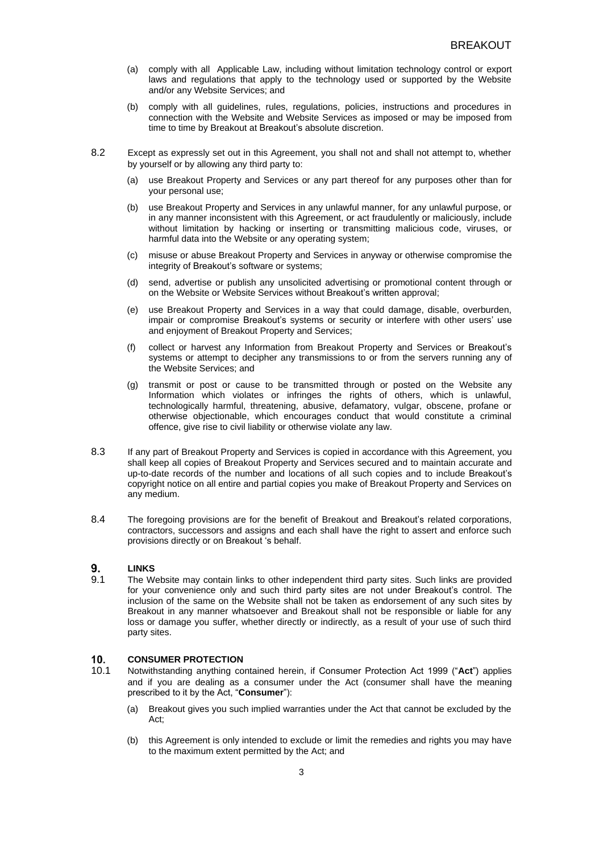- (a) comply with all Applicable Law, including without limitation technology control or export laws and regulations that apply to the technology used or supported by the Website and/or any Website Services; and
- (b) comply with all guidelines, rules, regulations, policies, instructions and procedures in connection with the Website and Website Services as imposed or may be imposed from time to time by Breakout at Breakout's absolute discretion.
- 8.2 Except as expressly set out in this Agreement, you shall not and shall not attempt to, whether by yourself or by allowing any third party to:
	- (a) use Breakout Property and Services or any part thereof for any purposes other than for your personal use;
	- (b) use Breakout Property and Services in any unlawful manner, for any unlawful purpose, or in any manner inconsistent with this Agreement, or act fraudulently or maliciously, include without limitation by hacking or inserting or transmitting malicious code, viruses, or harmful data into the Website or any operating system;
	- (c) misuse or abuse Breakout Property and Services in anyway or otherwise compromise the integrity of Breakout's software or systems;
	- (d) send, advertise or publish any unsolicited advertising or promotional content through or on the Website or Website Services without Breakout's written approval;
	- (e) use Breakout Property and Services in a way that could damage, disable, overburden, impair or compromise Breakout's systems or security or interfere with other users' use and enjoyment of Breakout Property and Services;
	- (f) collect or harvest any Information from Breakout Property and Services or Breakout's systems or attempt to decipher any transmissions to or from the servers running any of the Website Services; and
	- (g) transmit or post or cause to be transmitted through or posted on the Website any Information which violates or infringes the rights of others, which is unlawful, technologically harmful, threatening, abusive, defamatory, vulgar, obscene, profane or otherwise objectionable, which encourages conduct that would constitute a criminal offence, give rise to civil liability or otherwise violate any law.
- 8.3 If any part of Breakout Property and Services is copied in accordance with this Agreement, you shall keep all copies of Breakout Property and Services secured and to maintain accurate and up-to-date records of the number and locations of all such copies and to include Breakout's copyright notice on all entire and partial copies you make of Breakout Property and Services on any medium.
- 8.4 The foregoing provisions are for the benefit of Breakout and Breakout's related corporations, contractors, successors and assigns and each shall have the right to assert and enforce such provisions directly or on Breakout 's behalf.

#### 9. **LINKS**

9.1 The Website may contain links to other independent third party sites. Such links are provided for your convenience only and such third party sites are not under Breakout's control. The inclusion of the same on the Website shall not be taken as endorsement of any such sites by Breakout in any manner whatsoever and Breakout shall not be responsible or liable for any loss or damage you suffer, whether directly or indirectly, as a result of your use of such third party sites.

#### $10.$ **CONSUMER PROTECTION**

- 10.1 Notwithstanding anything contained herein, if Consumer Protection Act 1999 ("**Act**") applies and if you are dealing as a consumer under the Act (consumer shall have the meaning prescribed to it by the Act, "**Consumer**"):
	- (a) Breakout gives you such implied warranties under the Act that cannot be excluded by the Act;
	- (b) this Agreement is only intended to exclude or limit the remedies and rights you may have to the maximum extent permitted by the Act; and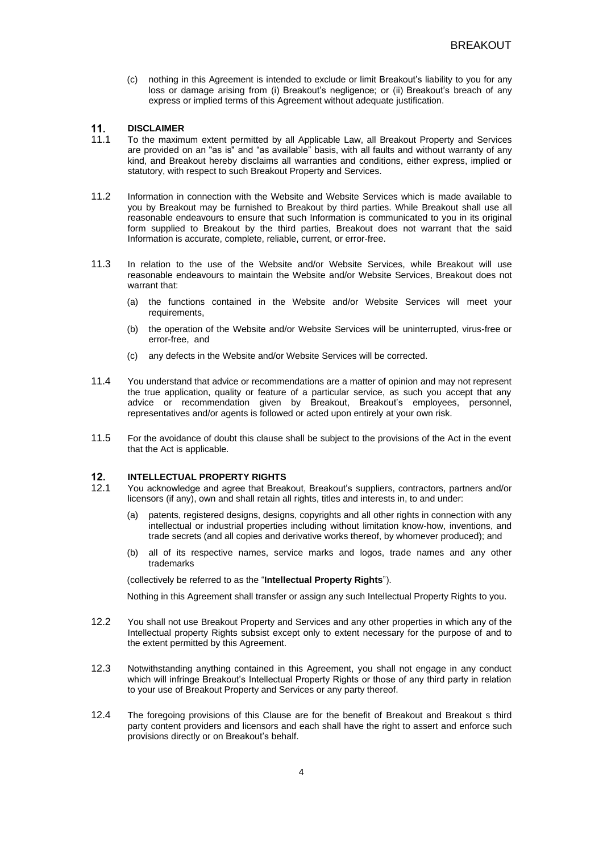(c) nothing in this Agreement is intended to exclude or limit Breakout's liability to you for any loss or damage arising from (i) Breakout's negligence; or (ii) Breakout's breach of any express or implied terms of this Agreement without adequate justification.

#### $11.$ **DISCLAIMER**

- 11.1 To the maximum extent permitted by all Applicable Law, all Breakout Property and Services are provided on an "as is" and "as available" basis, with all faults and without warranty of any kind, and Breakout hereby disclaims all warranties and conditions, either express, implied or statutory, with respect to such Breakout Property and Services.
- 11.2 Information in connection with the Website and Website Services which is made available to you by Breakout may be furnished to Breakout by third parties. While Breakout shall use all reasonable endeavours to ensure that such Information is communicated to you in its original form supplied to Breakout by the third parties, Breakout does not warrant that the said Information is accurate, complete, reliable, current, or error-free.
- 11.3 In relation to the use of the Website and/or Website Services, while Breakout will use reasonable endeavours to maintain the Website and/or Website Services, Breakout does not warrant that:
	- (a) the functions contained in the Website and/or Website Services will meet your requirements,
	- (b) the operation of the Website and/or Website Services will be uninterrupted, virus-free or error-free, and
	- (c) any defects in the Website and/or Website Services will be corrected.
- 11.4 You understand that advice or recommendations are a matter of opinion and may not represent the true application, quality or feature of a particular service, as such you accept that any advice or recommendation given by Breakout, Breakout's employees, personnel, representatives and/or agents is followed or acted upon entirely at your own risk.
- 11.5 For the avoidance of doubt this clause shall be subject to the provisions of the Act in the event that the Act is applicable.

### $12<sub>1</sub>$ **INTELLECTUAL PROPERTY RIGHTS**

- 12.1 You acknowledge and agree that Breakout, Breakout's suppliers, contractors, partners and/or licensors (if any), own and shall retain all rights, titles and interests in, to and under:
	- (a) patents, registered designs, designs, copyrights and all other rights in connection with any intellectual or industrial properties including without limitation know-how, inventions, and trade secrets (and all copies and derivative works thereof, by whomever produced); and
	- (b) all of its respective names, service marks and logos, trade names and any other trademarks

(collectively be referred to as the "**Intellectual Property Rights**").

Nothing in this Agreement shall transfer or assign any such Intellectual Property Rights to you.

- 12.2 You shall not use Breakout Property and Services and any other properties in which any of the Intellectual property Rights subsist except only to extent necessary for the purpose of and to the extent permitted by this Agreement.
- 12.3 Notwithstanding anything contained in this Agreement, you shall not engage in any conduct which will infringe Breakout's Intellectual Property Rights or those of any third party in relation to your use of Breakout Property and Services or any party thereof.
- 12.4 The foregoing provisions of this Clause are for the benefit of Breakout and Breakout s third party content providers and licensors and each shall have the right to assert and enforce such provisions directly or on Breakout's behalf.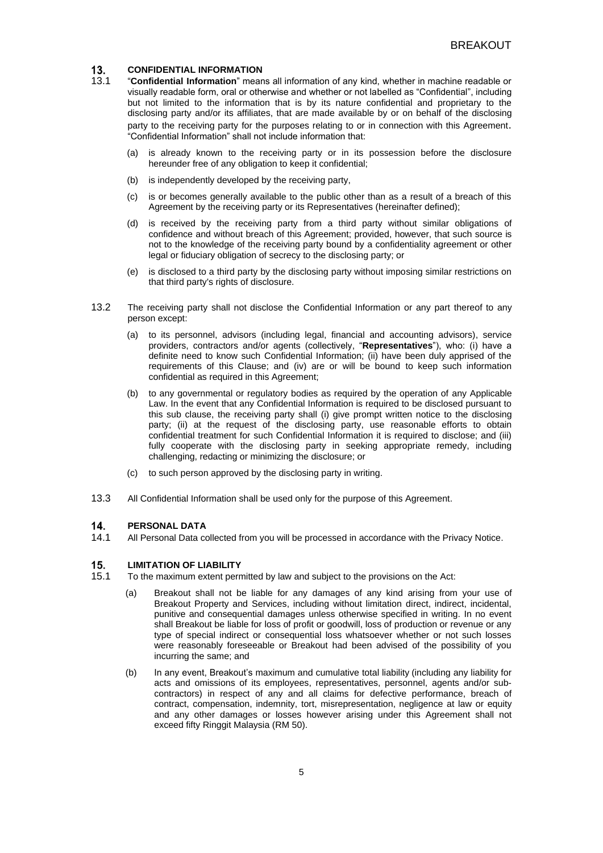### **CONFIDENTIAL INFORMATION** 13.

- 13.1 "**Confidential Information**" means all information of any kind, whether in machine readable or visually readable form, oral or otherwise and whether or not labelled as "Confidential", including but not limited to the information that is by its nature confidential and proprietary to the disclosing party and/or its affiliates, that are made available by or on behalf of the disclosing party to the receiving party for the purposes relating to or in connection with this Agreement. "Confidential Information" shall not include information that:
	- (a) is already known to the receiving party or in its possession before the disclosure hereunder free of any obligation to keep it confidential;
	- (b) is independently developed by the receiving party,
	- (c) is or becomes generally available to the public other than as a result of a breach of this Agreement by the receiving party or its Representatives (hereinafter defined);
	- (d) is received by the receiving party from a third party without similar obligations of confidence and without breach of this Agreement; provided, however, that such source is not to the knowledge of the receiving party bound by a confidentiality agreement or other legal or fiduciary obligation of secrecy to the disclosing party; or
	- (e) is disclosed to a third party by the disclosing party without imposing similar restrictions on that third party's rights of disclosure.
- 13.2 The receiving party shall not disclose the Confidential Information or any part thereof to any person except:
	- (a) to its personnel, advisors (including legal, financial and accounting advisors), service providers, contractors and/or agents (collectively, "**Representatives**"), who: (i) have a definite need to know such Confidential Information; (ii) have been duly apprised of the requirements of this Clause; and (iv) are or will be bound to keep such information confidential as required in this Agreement;
	- (b) to any governmental or regulatory bodies as required by the operation of any Applicable Law. In the event that any Confidential Information is required to be disclosed pursuant to this sub clause, the receiving party shall (i) give prompt written notice to the disclosing party; (ii) at the request of the disclosing party, use reasonable efforts to obtain confidential treatment for such Confidential Information it is required to disclose; and (iii) fully cooperate with the disclosing party in seeking appropriate remedy, including challenging, redacting or minimizing the disclosure; or
	- (c) to such person approved by the disclosing party in writing.
- 13.3 All Confidential Information shall be used only for the purpose of this Agreement.

#### 14. **PERSONAL DATA**

14.1 All Personal Data collected from you will be processed in accordance with the Privacy Notice.

### $15.$ **LIMITATION OF LIABILITY**

- 15.1 To the maximum extent permitted by law and subject to the provisions on the Act:
	- (a) Breakout shall not be liable for any damages of any kind arising from your use of Breakout Property and Services, including without limitation direct, indirect, incidental, punitive and consequential damages unless otherwise specified in writing. In no event shall Breakout be liable for loss of profit or goodwill, loss of production or revenue or any type of special indirect or consequential loss whatsoever whether or not such losses were reasonably foreseeable or Breakout had been advised of the possibility of you incurring the same; and
	- (b) In any event, Breakout's maximum and cumulative total liability (including any liability for acts and omissions of its employees, representatives, personnel, agents and/or subcontractors) in respect of any and all claims for defective performance, breach of contract, compensation, indemnity, tort, misrepresentation, negligence at law or equity and any other damages or losses however arising under this Agreement shall not exceed fifty Ringgit Malaysia (RM 50).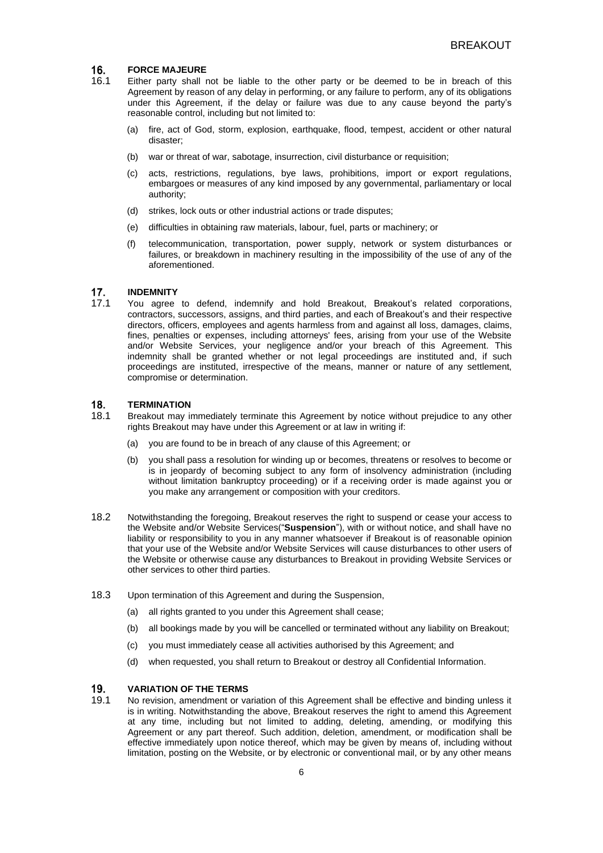#### **FORCE MAJEURE** 16.

- 16.1 Either party shall not be liable to the other party or be deemed to be in breach of this Agreement by reason of any delay in performing, or any failure to perform, any of its obligations under this Agreement, if the delay or failure was due to any cause beyond the party's reasonable control, including but not limited to:
	- (a) fire, act of God, storm, explosion, earthquake, flood, tempest, accident or other natural disaster;
	- (b) war or threat of war, sabotage, insurrection, civil disturbance or requisition;
	- (c) acts, restrictions, regulations, bye laws, prohibitions, import or export regulations, embargoes or measures of any kind imposed by any governmental, parliamentary or local authority;
	- (d) strikes, lock outs or other industrial actions or trade disputes;
	- (e) difficulties in obtaining raw materials, labour, fuel, parts or machinery; or
	- (f) telecommunication, transportation, power supply, network or system disturbances or failures, or breakdown in machinery resulting in the impossibility of the use of any of the aforementioned.

#### $17.$ **INDEMNITY**

17.1 You agree to defend, indemnify and hold Breakout, Breakout's related corporations, contractors, successors, assigns, and third parties, and each of Breakout's and their respective directors, officers, employees and agents harmless from and against all loss, damages, claims, fines, penalties or expenses, including attorneys' fees, arising from your use of the Website and/or Website Services, your negligence and/or your breach of this Agreement. This indemnity shall be granted whether or not legal proceedings are instituted and, if such proceedings are instituted, irrespective of the means, manner or nature of any settlement, compromise or determination.

#### 18. **TERMINATION**

- 18.1 Breakout may immediately terminate this Agreement by notice without prejudice to any other rights Breakout may have under this Agreement or at law in writing if:
	- (a) you are found to be in breach of any clause of this Agreement; or
	- (b) you shall pass a resolution for winding up or becomes, threatens or resolves to become or is in jeopardy of becoming subject to any form of insolvency administration (including without limitation bankruptcy proceeding) or if a receiving order is made against you or you make any arrangement or composition with your creditors.
- 18.2 Notwithstanding the foregoing, Breakout reserves the right to suspend or cease your access to the Website and/or Website Services("**Suspension**"), with or without notice, and shall have no liability or responsibility to you in any manner whatsoever if Breakout is of reasonable opinion that your use of the Website and/or Website Services will cause disturbances to other users of the Website or otherwise cause any disturbances to Breakout in providing Website Services or other services to other third parties.
- 18.3 Upon termination of this Agreement and during the Suspension,
	- (a) all rights granted to you under this Agreement shall cease;
	- (b) all bookings made by you will be cancelled or terminated without any liability on Breakout;
	- (c) you must immediately cease all activities authorised by this Agreement; and
	- (d) when requested, you shall return to Breakout or destroy all Confidential Information.

### 19. **VARIATION OF THE TERMS**

19.1 No revision, amendment or variation of this Agreement shall be effective and binding unless it is in writing. Notwithstanding the above, Breakout reserves the right to amend this Agreement at any time, including but not limited to adding, deleting, amending, or modifying this Agreement or any part thereof. Such addition, deletion, amendment, or modification shall be effective immediately upon notice thereof, which may be given by means of, including without limitation, posting on the Website, or by electronic or conventional mail, or by any other means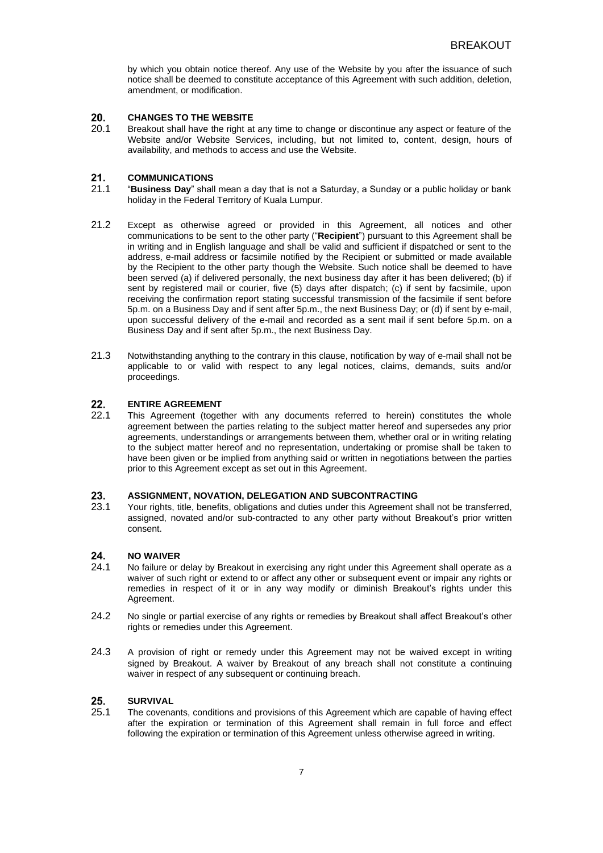by which you obtain notice thereof. Any use of the Website by you after the issuance of such notice shall be deemed to constitute acceptance of this Agreement with such addition, deletion, amendment, or modification.

#### 20. **CHANGES TO THE WEBSITE**

20.1 Breakout shall have the right at any time to change or discontinue any aspect or feature of the Website and/or Website Services, including, but not limited to, content, design, hours of availability, and methods to access and use the Website.

#### $21.$ **COMMUNICATIONS**

- 21.1 "**Business Day**" shall mean a day that is not a Saturday, a Sunday or a public holiday or bank holiday in the Federal Territory of Kuala Lumpur.
- 21.2 Except as otherwise agreed or provided in this Agreement, all notices and other communications to be sent to the other party ("**Recipient**") pursuant to this Agreement shall be in writing and in English language and shall be valid and sufficient if dispatched or sent to the address, e-mail address or facsimile notified by the Recipient or submitted or made available by the Recipient to the other party though the Website. Such notice shall be deemed to have been served (a) if delivered personally, the next business day after it has been delivered; (b) if sent by registered mail or courier, five (5) days after dispatch; (c) if sent by facsimile, upon receiving the confirmation report stating successful transmission of the facsimile if sent before 5p.m. on a Business Day and if sent after 5p.m., the next Business Day; or (d) if sent by e-mail, upon successful delivery of the e-mail and recorded as a sent mail if sent before 5p.m. on a Business Day and if sent after 5p.m., the next Business Day.
- 21.3 Notwithstanding anything to the contrary in this clause, notification by way of e-mail shall not be applicable to or valid with respect to any legal notices, claims, demands, suits and/or proceedings.

#### $22.$ **ENTIRE AGREEMENT**

22.1 This Agreement (together with any documents referred to herein) constitutes the whole agreement between the parties relating to the subject matter hereof and supersedes any prior agreements, understandings or arrangements between them, whether oral or in writing relating to the subject matter hereof and no representation, undertaking or promise shall be taken to have been given or be implied from anything said or written in negotiations between the parties prior to this Agreement except as set out in this Agreement.

### **ASSIGNMENT, NOVATION, DELEGATION AND SUBCONTRACTING**  $23<sub>1</sub>$

23.1 Your rights, title, benefits, obligations and duties under this Agreement shall not be transferred, assigned, novated and/or sub-contracted to any other party without Breakout's prior written consent.

#### $24$ **NO WAIVER**

- 24.1 No failure or delay by Breakout in exercising any right under this Agreement shall operate as a waiver of such right or extend to or affect any other or subsequent event or impair any rights or remedies in respect of it or in any way modify or diminish Breakout's rights under this Agreement.
- 24.2 No single or partial exercise of any rights or remedies by Breakout shall affect Breakout's other rights or remedies under this Agreement.
- 24.3 A provision of right or remedy under this Agreement may not be waived except in writing signed by Breakout. A waiver by Breakout of any breach shall not constitute a continuing waiver in respect of any subsequent or continuing breach.

### $25.$ **SURVIVAL**

25.1 The covenants, conditions and provisions of this Agreement which are capable of having effect after the expiration or termination of this Agreement shall remain in full force and effect following the expiration or termination of this Agreement unless otherwise agreed in writing.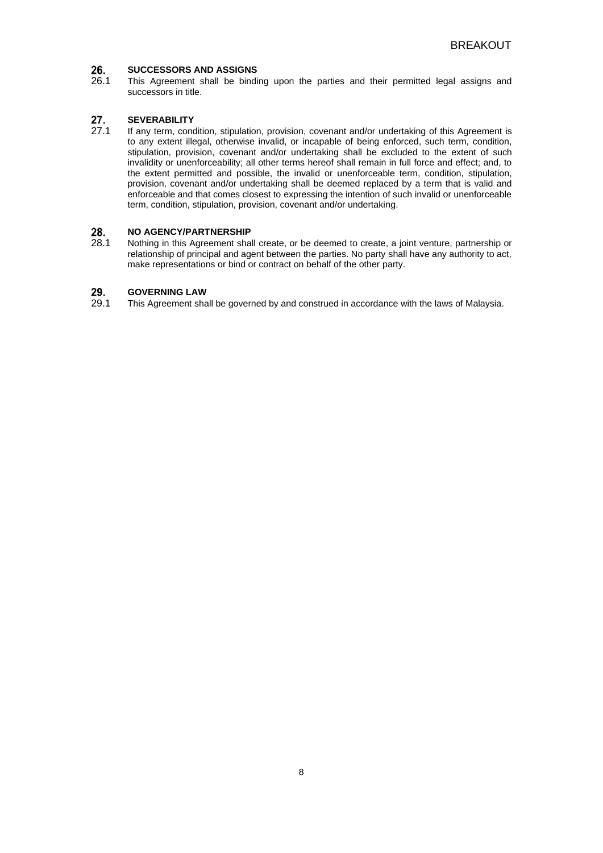### 26. **SUCCESSORS AND ASSIGNS**

26.1 This Agreement shall be binding upon the parties and their permitted legal assigns and successors in title.

### 27. **SEVERABILITY**

27.1 If any term, condition, stipulation, provision, covenant and/or undertaking of this Agreement is to any extent illegal, otherwise invalid, or incapable of being enforced, such term, condition, stipulation, provision, covenant and/or undertaking shall be excluded to the extent of such invalidity or unenforceability; all other terms hereof shall remain in full force and effect; and, to the extent permitted and possible, the invalid or unenforceable term, condition, stipulation, provision, covenant and/or undertaking shall be deemed replaced by a term that is valid and enforceable and that comes closest to expressing the intention of such invalid or unenforceable term, condition, stipulation, provision, covenant and/or undertaking.

### 28. **NO AGENCY/PARTNERSHIP**

28.1 Nothing in this Agreement shall create, or be deemed to create, a joint venture, partnership or relationship of principal and agent between the parties. No party shall have any authority to act, make representations or bind or contract on behalf of the other party.

#### 29. **GOVERNING LAW**

29.1 This Agreement shall be governed by and construed in accordance with the laws of Malaysia.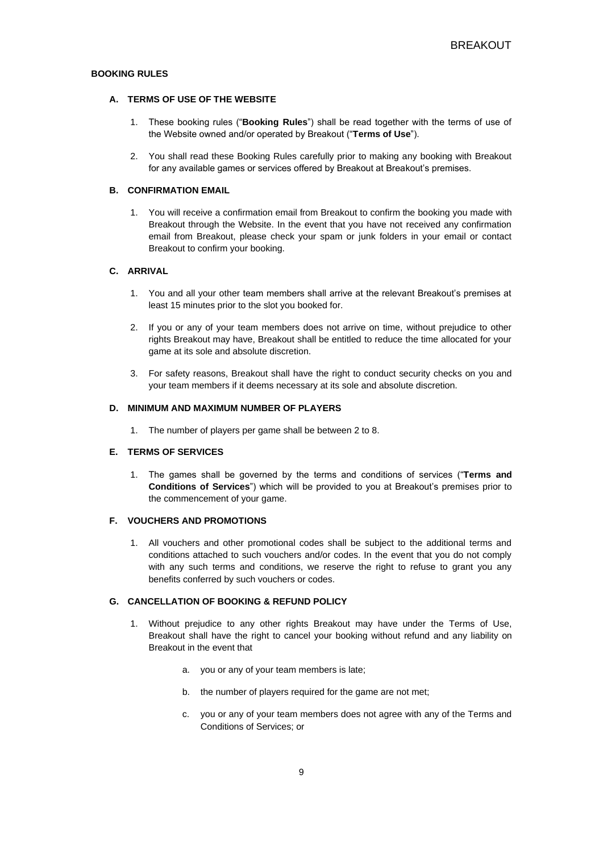# **BOOKING RULES**

# **A. TERMS OF USE OF THE WEBSITE**

- 1. These booking rules ("**Booking Rules**") shall be read together with the terms of use of the Website owned and/or operated by Breakout ("**Terms of Use**").
- 2. You shall read these Booking Rules carefully prior to making any booking with Breakout for any available games or services offered by Breakout at Breakout's premises.

### **B. CONFIRMATION EMAIL**

1. You will receive a confirmation email from Breakout to confirm the booking you made with Breakout through the Website. In the event that you have not received any confirmation email from Breakout, please check your spam or junk folders in your email or contact Breakout to confirm your booking.

# **C. ARRIVAL**

- 1. You and all your other team members shall arrive at the relevant Breakout's premises at least 15 minutes prior to the slot you booked for.
- 2. If you or any of your team members does not arrive on time, without prejudice to other rights Breakout may have, Breakout shall be entitled to reduce the time allocated for your game at its sole and absolute discretion.
- 3. For safety reasons, Breakout shall have the right to conduct security checks on you and your team members if it deems necessary at its sole and absolute discretion.

## **D. MINIMUM AND MAXIMUM NUMBER OF PLAYERS**

1. The number of players per game shall be between 2 to 8.

# **E. TERMS OF SERVICES**

1. The games shall be governed by the terms and conditions of services ("**Terms and Conditions of Services**") which will be provided to you at Breakout's premises prior to the commencement of your game.

# **F. VOUCHERS AND PROMOTIONS**

1. All vouchers and other promotional codes shall be subject to the additional terms and conditions attached to such vouchers and/or codes. In the event that you do not comply with any such terms and conditions, we reserve the right to refuse to grant you any benefits conferred by such vouchers or codes.

## **G. CANCELLATION OF BOOKING & REFUND POLICY**

- 1. Without prejudice to any other rights Breakout may have under the Terms of Use, Breakout shall have the right to cancel your booking without refund and any liability on Breakout in the event that
	- a. you or any of your team members is late;
	- b. the number of players required for the game are not met;
	- c. you or any of your team members does not agree with any of the Terms and Conditions of Services; or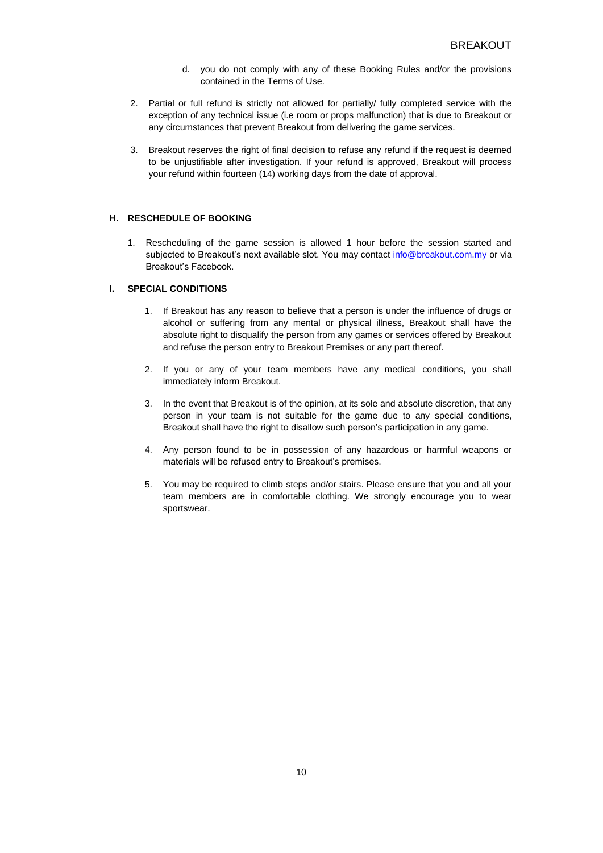- d. you do not comply with any of these Booking Rules and/or the provisions contained in the Terms of Use.
- 2. Partial or full refund is strictly not allowed for partially/ fully completed service with the exception of any technical issue (i.e room or props malfunction) that is due to Breakout or any circumstances that prevent Breakout from delivering the game services.
- 3. Breakout reserves the right of final decision to refuse any refund if the request is deemed to be unjustifiable after investigation. If your refund is approved, Breakout will process your refund within fourteen (14) working days from the date of approval.

# **H. RESCHEDULE OF BOOKING**

1. Rescheduling of the game session is allowed 1 hour before the session started and subjected to Breakout's next available slot. You may contact [info@breakout.com.my](mailto:info@breakout.com.my) or via Breakout's Facebook.

# **I. SPECIAL CONDITIONS**

- 1. If Breakout has any reason to believe that a person is under the influence of drugs or alcohol or suffering from any mental or physical illness, Breakout shall have the absolute right to disqualify the person from any games or services offered by Breakout and refuse the person entry to Breakout Premises or any part thereof.
- 2. If you or any of your team members have any medical conditions, you shall immediately inform Breakout.
- 3. In the event that Breakout is of the opinion, at its sole and absolute discretion, that any person in your team is not suitable for the game due to any special conditions, Breakout shall have the right to disallow such person's participation in any game.
- 4. Any person found to be in possession of any hazardous or harmful weapons or materials will be refused entry to Breakout's premises.
- 5. You may be required to climb steps and/or stairs. Please ensure that you and all your team members are in comfortable clothing. We strongly encourage you to wear sportswear.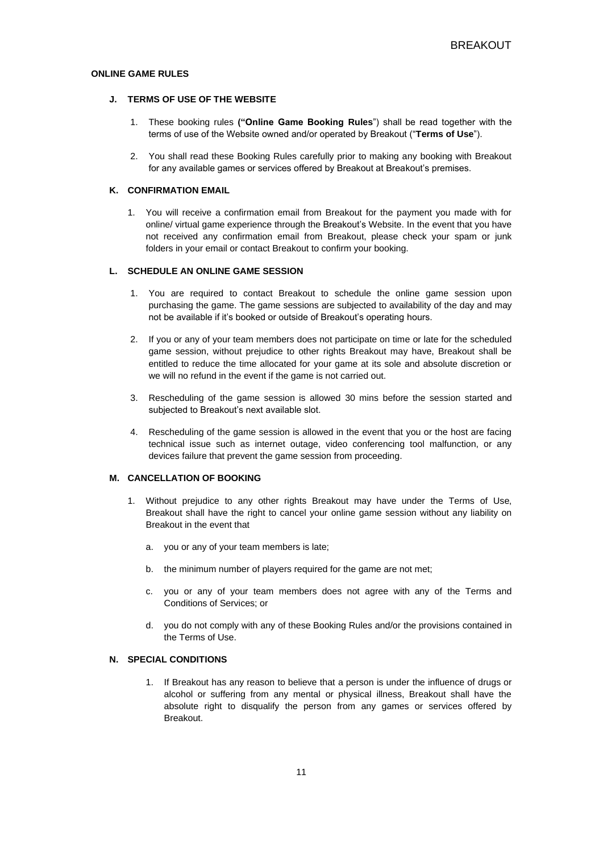# **ONLINE GAME RULES**

# **J. TERMS OF USE OF THE WEBSITE**

- 1. These booking rules **("Online Game Booking Rules**") shall be read together with the terms of use of the Website owned and/or operated by Breakout ("**Terms of Use**").
- 2. You shall read these Booking Rules carefully prior to making any booking with Breakout for any available games or services offered by Breakout at Breakout's premises.

### **K. CONFIRMATION EMAIL**

1. You will receive a confirmation email from Breakout for the payment you made with for online/ virtual game experience through the Breakout's Website. In the event that you have not received any confirmation email from Breakout, please check your spam or junk folders in your email or contact Breakout to confirm your booking.

# **L. SCHEDULE AN ONLINE GAME SESSION**

- 1. You are required to contact Breakout to schedule the online game session upon purchasing the game. The game sessions are subjected to availability of the day and may not be available if it's booked or outside of Breakout's operating hours.
- 2. If you or any of your team members does not participate on time or late for the scheduled game session, without prejudice to other rights Breakout may have, Breakout shall be entitled to reduce the time allocated for your game at its sole and absolute discretion or we will no refund in the event if the game is not carried out.
- 3. Rescheduling of the game session is allowed 30 mins before the session started and subjected to Breakout's next available slot.
- 4. Rescheduling of the game session is allowed in the event that you or the host are facing technical issue such as internet outage, video conferencing tool malfunction, or any devices failure that prevent the game session from proceeding.

# **M. CANCELLATION OF BOOKING**

- 1. Without prejudice to any other rights Breakout may have under the Terms of Use, Breakout shall have the right to cancel your online game session without any liability on Breakout in the event that
	- a. you or any of your team members is late;
	- b. the minimum number of players required for the game are not met;
	- c. you or any of your team members does not agree with any of the Terms and Conditions of Services; or
	- d. you do not comply with any of these Booking Rules and/or the provisions contained in the Terms of Use.

# **N. SPECIAL CONDITIONS**

1. If Breakout has any reason to believe that a person is under the influence of drugs or alcohol or suffering from any mental or physical illness, Breakout shall have the absolute right to disqualify the person from any games or services offered by Breakout.